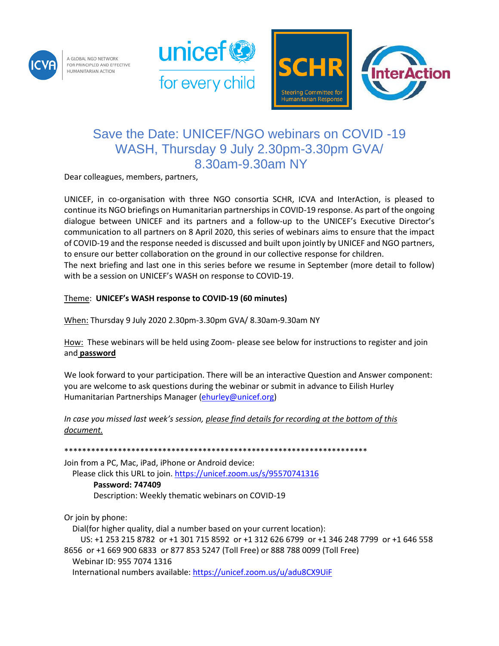

A GLOBAL NGO NETWORK FOR PRINCIPLED AND EFFECTIVE **IUMANITARIAN ACTION** 





## Save the Date: UNICEF/NGO webinars on COVID -19 WASH, Thursday 9 July 2.30pm-3.30pm GVA/ 8.30am-9.30am NY

Dear colleagues, members, partners,

UNICEF, in co-organisation with three NGO consortia SCHR, ICVA and InterAction, is pleased to continue its NGO briefings on Humanitarian partnerships in COVID-19 response. As part of the ongoing dialogue between UNICEF and its partners and a follow-up to the UNICEF's Executive Director's communication to all partners on 8 April 2020, this series of webinars aims to ensure that the impact of COVID-19 and the response needed is discussed and built upon jointly by UNICEF and NGO partners, to ensure our better collaboration on the ground in our collective response for children. The next briefing and last one in this series before we resume in September (more detail to follow) with be a session on UNICEF's WASH on response to COVID-19.

## Theme: **UNICEF's WASH response to COVID-19 (60 minutes)**

When: Thursday 9 July 2020 2.30pm-3.30pm GVA/ 8.30am-9.30am NY

How: These webinars will be held using Zoom- please see below for instructions to register and join and **password**

We look forward to your participation. There will be an interactive Question and Answer component: you are welcome to ask questions during the webinar or submit in advance to Eilish Hurley Humanitarian Partnerships Manager [\(ehurley@unicef.org\)](file:///C:/Users/ehurley/AppData/Local/Microsoft/Windows/INetCache/Content.Outlook/JQF0FDGV/ehurley@unicef.org)

*In case you missed last week's session, please find details for recording at the bottom of this document.*

\*\*\*\*\*\*\*\*\*\*\*\*\*\*\*\*\*\*\*\*\*\*\*\*\*\*\*\*\*\*\*\*\*\*\*\*\*\*\*\*\*\*\*\*\*\*\*\*\*\*\*\*\*\*\*\*\*\*\*\*\*\*\*\*\*\*\*\*

Join from a PC, Mac, iPad, iPhone or Android device: Please click this URL to join[. https://unicef.zoom.us/s/95570741316](https://unicef.zoom.us/s/95570741316)

## **Password: 747409**

Description: Weekly thematic webinars on COVID-19

Or join by phone:

 Dial(for higher quality, dial a number based on your current location): US: +1 253 215 8782 or +1 301 715 8592 or +1 312 626 6799 or +1 346 248 7799 or +1 646 558 8656 or +1 669 900 6833 or 877 853 5247 (Toll Free) or 888 788 0099 (Toll Free) Webinar ID: 955 7074 1316 International numbers available[: https://unicef.zoom.us/u/adu8CX9UiF](https://unicef.zoom.us/u/adu8CX9UiF)